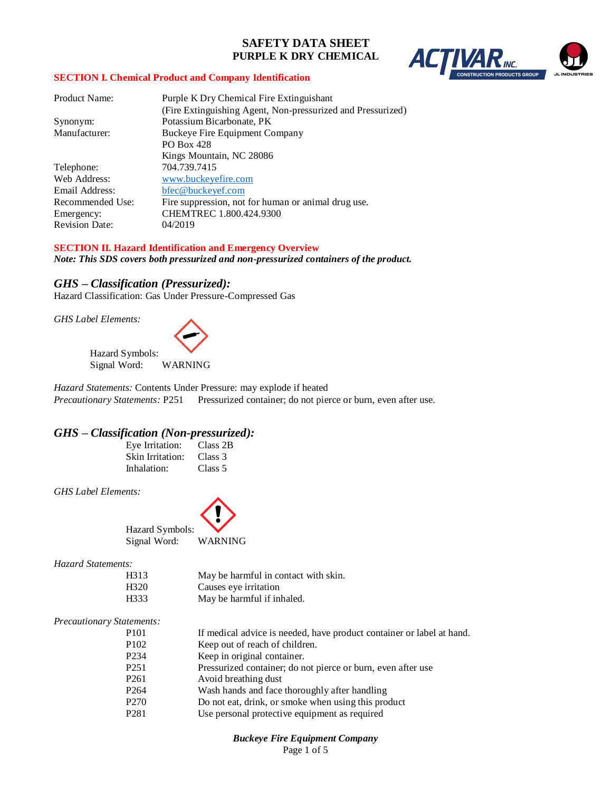

## **SECTION I. Chemical Product and Company Identification**

| <b>Product Name:</b>  | Purple K Dry Chemical Fire Extinguishant                    |
|-----------------------|-------------------------------------------------------------|
|                       | (Fire Extinguishing Agent, Non-pressurized and Pressurized) |
| Synonym:              | Potassium Bicarbonate, PK                                   |
| Manufacturer:         | Buckeye Fire Equipment Company                              |
|                       | <b>PO Box 428</b>                                           |
|                       | Kings Mountain, NC 28086                                    |
| Telephone:            | 704.739.7415                                                |
| Web Address:          | www.buckeyefire.com                                         |
| Email Address:        | bfec@buckeyef.com                                           |
| Recommended Use:      | Fire suppression, not for human or animal drug use.         |
| Emergency:            | CHEMTREC 1.800.424.9300                                     |
| <b>Revision Date:</b> | 04/2019                                                     |

## **SECTION II. Hazard Identification and Emergency Overview**

*Note: This SDS covers both pressurized and non-pressurized containers of the product.*

## *GHS – Classification (Pressurized):*

Hazard Classification: Gas Under Pressure-Compressed Gas

*GHS Label Elements:*

Hazard Symbols: Signal Word: WARNING

*Hazard Statements:* Contents Under Pressure: may explode if heated *Precautionary Statements: P251* Pressurized container; do not pierce or burn, even after use.

## *GHS – Classification (Non-pressurized):*

| Eve Irritation:  | Class 2B |
|------------------|----------|
| Skin Irritation: | Class 3  |
| Inhalation:      | Class 5  |

*GHS Label Elements:*



*Hazard Statements:* 

| H313 | May be harmful in contact with skin. |
|------|--------------------------------------|
| H320 | Causes eye irritation                |
| H333 | May be harmful if inhaled.           |

### *Precautionary Statements:*

| P <sub>101</sub>  | If medical advice is needed, have product container or label at hand. |
|-------------------|-----------------------------------------------------------------------|
| P <sub>102</sub>  | Keep out of reach of children.                                        |
| P <sub>2</sub> 34 | Keep in original container.                                           |
| P <sub>251</sub>  | Pressurized container; do not pierce or burn, even after use          |
| P <sub>261</sub>  | Avoid breathing dust                                                  |
| P <sub>264</sub>  | Wash hands and face thoroughly after handling                         |
| P <sub>270</sub>  | Do not eat, drink, or smoke when using this product                   |
| P <sub>281</sub>  | Use personal protective equipment as required                         |

# *Buckeye Fire Equipment Company*

Page 1 of 5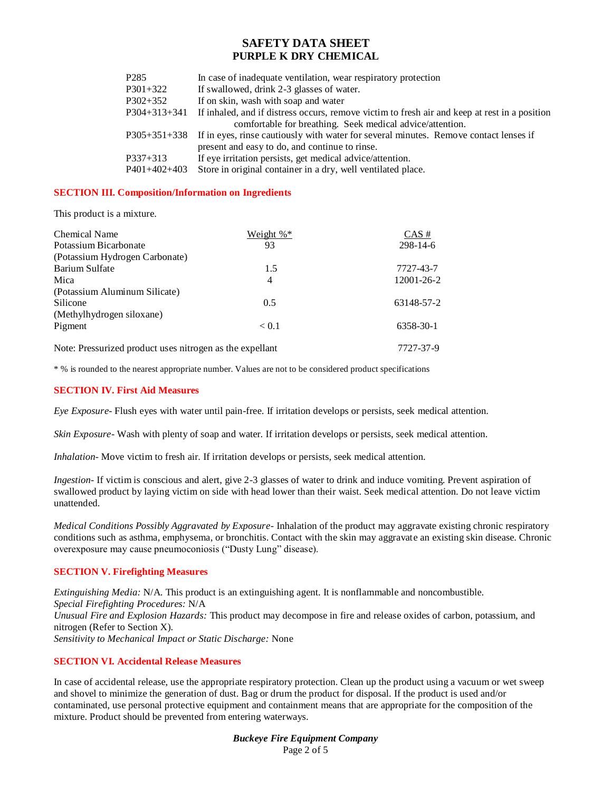| P <sub>2</sub> 85 | In case of inadequate ventilation, wear respiratory protection                                     |
|-------------------|----------------------------------------------------------------------------------------------------|
| P301+322          | If swallowed, drink 2-3 glasses of water.                                                          |
| $P302+352$        | If on skin, wash with soap and water                                                               |
| $P304+313+341$    | If inhaled, and if distress occurs, remove victim to fresh air and keep at rest in a position      |
|                   | comfortable for breathing. Seek medical advice/attention.                                          |
|                   | P305+351+338 If in eyes, rinse cautiously with water for several minutes. Remove contact lenses if |
|                   | present and easy to do, and continue to rinse.                                                     |
| $P337+313$        | If eye irritation persists, get medical advice/attention.                                          |
| $P401+402+403$    | Store in original container in a dry, well ventilated place.                                       |

## **SECTION III. Composition/Information on Ingredients**

This product is a mixture.

| Chemical Name                  | Weight $\%^*$ | $CAS \#$   |
|--------------------------------|---------------|------------|
| Potassium Bicarbonate          | 93            | $298-14-6$ |
| (Potassium Hydrogen Carbonate) |               |            |
| Barium Sulfate                 | 1.5           | 7727-43-7  |
| Mica                           | 4             | 12001-26-2 |
| (Potassium Aluminum Silicate)  |               |            |
| Silicone                       | 0.5           | 63148-57-2 |
| (Methylhydrogen siloxane)      |               |            |
| Pigment                        | < 0.1         | 6358-30-1  |
|                                |               |            |

Note: Pressurized product uses nitrogen as the expellant 7727-37-9

\* % is rounded to the nearest appropriate number. Values are not to be considered product specifications

## **SECTION IV. First Aid Measures**

*Eye Exposure*- Flush eyes with water until pain-free. If irritation develops or persists, seek medical attention.

*Skin Exposure*- Wash with plenty of soap and water. If irritation develops or persists, seek medical attention.

*Inhalation*- Move victim to fresh air. If irritation develops or persists, seek medical attention.

*Ingestion*- If victim is conscious and alert, give 2-3 glasses of water to drink and induce vomiting. Prevent aspiration of swallowed product by laying victim on side with head lower than their waist. Seek medical attention. Do not leave victim unattended.

*Medical Conditions Possibly Aggravated by Exposure*- Inhalation of the product may aggravate existing chronic respiratory conditions such as asthma, emphysema, or bronchitis. Contact with the skin may aggravate an existing skin disease. Chronic overexposure may cause pneumoconiosis ("Dusty Lung" disease).

### **SECTION V. Firefighting Measures**

*Extinguishing Media:* N/A. This product is an extinguishing agent. It is nonflammable and noncombustible. *Special Firefighting Procedures:* N/A *Unusual Fire and Explosion Hazards:* This product may decompose in fire and release oxides of carbon, potassium, and nitrogen (Refer to Section X). *Sensitivity to Mechanical Impact or Static Discharge:* None

### **SECTION VI. Accidental Release Measures**

In case of accidental release, use the appropriate respiratory protection. Clean up the product using a vacuum or wet sweep and shovel to minimize the generation of dust. Bag or drum the product for disposal. If the product is used and/or contaminated, use personal protective equipment and containment means that are appropriate for the composition of the mixture. Product should be prevented from entering waterways.

> *Buckeye Fire Equipment Company* Page 2 of 5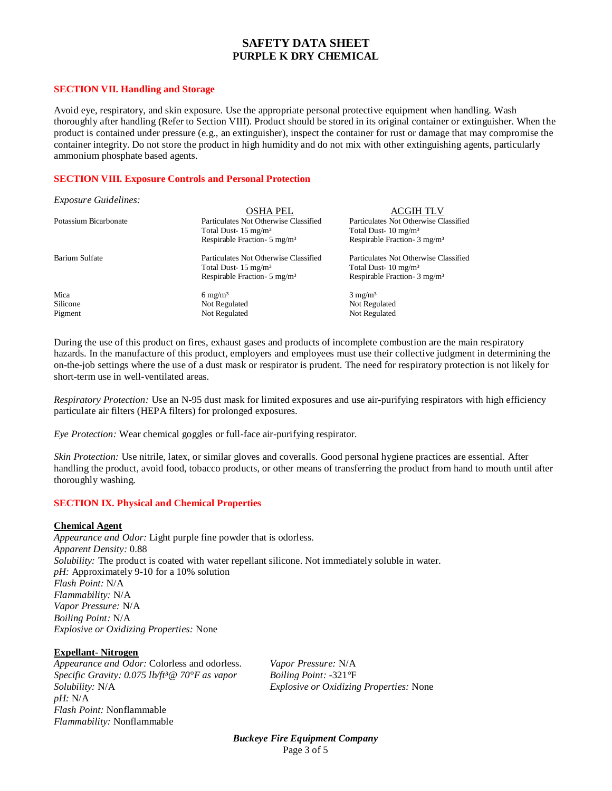#### **SECTION VII. Handling and Storage**

Avoid eye, respiratory, and skin exposure. Use the appropriate personal protective equipment when handling. Wash thoroughly after handling (Refer to Section VIII). Product should be stored in its original container or extinguisher. When the product is contained under pressure (e.g., an extinguisher), inspect the container for rust or damage that may compromise the container integrity. Do not store the product in high humidity and do not mix with other extinguishing agents, particularly ammonium phosphate based agents.

## **SECTION VIII. Exposure Controls and Personal Protection**

#### *Exposure Guidelines:*

|                       | OSHA PEL                                | <b>ACGIH TLV</b>                        |
|-----------------------|-----------------------------------------|-----------------------------------------|
| Potassium Bicarbonate | Particulates Not Otherwise Classified   | Particulates Not Otherwise Classified   |
|                       | Total Dust- $15 \text{ mg/m}^3$         | Total Dust- $10 \text{ mg/m}^3$         |
|                       | Respirable Fraction- $5 \text{ mg/m}^3$ | Respirable Fraction- $3 \text{ mg/m}^3$ |
| Barium Sulfate        | Particulates Not Otherwise Classified   | Particulates Not Otherwise Classified   |
|                       | Total Dust- $15 \text{ mg/m}^3$         | Total Dust- $10 \text{ mg/m}^3$         |
|                       | Respirable Fraction- $5 \text{ mg/m}^3$ | Respirable Fraction- $3 \text{ mg/m}^3$ |
| Mica                  | $6 \text{ mg/m}^3$                      | $3 \text{ mg/m}^3$                      |
| Silicone              | Not Regulated                           | Not Regulated                           |
| Pigment               | Not Regulated                           | Not Regulated                           |

During the use of this product on fires, exhaust gases and products of incomplete combustion are the main respiratory hazards. In the manufacture of this product, employers and employees must use their collective judgment in determining the on-the-job settings where the use of a dust mask or respirator is prudent. The need for respiratory protection is not likely for short-term use in well-ventilated areas.

*Respiratory Protection:* Use an N-95 dust mask for limited exposures and use air-purifying respirators with high efficiency particulate air filters (HEPA filters) for prolonged exposures.

*Eye Protection:* Wear chemical goggles or full-face air-purifying respirator.

*Skin Protection:* Use nitrile, latex, or similar gloves and coveralls. Good personal hygiene practices are essential. After handling the product, avoid food, tobacco products, or other means of transferring the product from hand to mouth until after thoroughly washing.

### **SECTION IX. Physical and Chemical Properties**

#### **Chemical Agent**

*Appearance and Odor:* Light purple fine powder that is odorless. *Apparent Density:* 0.88 *Solubility:* The product is coated with water repellant silicone. Not immediately soluble in water. *pH:* Approximately 9-10 for a 10% solution *Flash Point:* N/A *Flammability:* N/A *Vapor Pressure:* N/A *Boiling Point:* N/A *Explosive or Oxidizing Properties:* None

### **Expellant- Nitrogen**

*Appearance and Odor:* Colorless and odorless. *Vapor Pressure:* N/A *Specific Gravity: 0.075 lb/ft³@ 70°F as vapor Boiling Point:* -321°F *Solubility:* N/A *Explosive or Oxidizing Properties:* None *pH:* N/A *Flash Point:* Nonflammable *Flammability:* Nonflammable

*Buckeye Fire Equipment Company* Page 3 of 5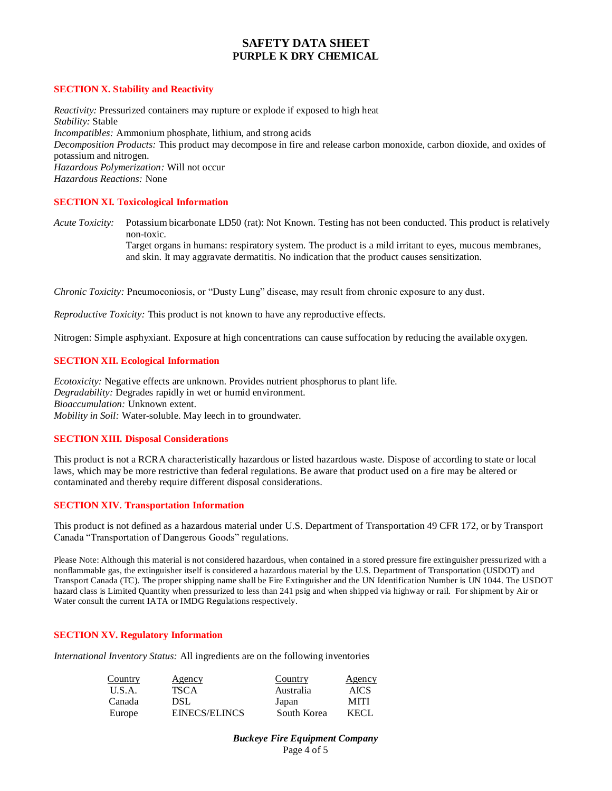## **SECTION X. Stability and Reactivity**

*Reactivity:* Pressurized containers may rupture or explode if exposed to high heat *Stability:* Stable *Incompatibles:* Ammonium phosphate, lithium, and strong acids *Decomposition Products:* This product may decompose in fire and release carbon monoxide, carbon dioxide, and oxides of potassium and nitrogen. *Hazardous Polymerization:* Will not occur *Hazardous Reactions:* None

## **SECTION XI. Toxicological Information**

*Acute Toxicity:* Potassium bicarbonate LD50 (rat): Not Known. Testing has not been conducted. This product is relatively non-toxic. Target organs in humans: respiratory system. The product is a mild irritant to eyes, mucous membranes, and skin. It may aggravate dermatitis. No indication that the product causes sensitization.

*Chronic Toxicity:* Pneumoconiosis, or "Dusty Lung" disease, may result from chronic exposure to any dust.

*Reproductive Toxicity:* This product is not known to have any reproductive effects.

Nitrogen: Simple asphyxiant. Exposure at high concentrations can cause suffocation by reducing the available oxygen.

## **SECTION XII. Ecological Information**

*Ecotoxicity:* Negative effects are unknown. Provides nutrient phosphorus to plant life. *Degradability:* Degrades rapidly in wet or humid environment. *Bioaccumulation:* Unknown extent. *Mobility in Soil:* Water-soluble. May leech in to groundwater.

## **SECTION XIII. Disposal Considerations**

This product is not a RCRA characteristically hazardous or listed hazardous waste. Dispose of according to state or local laws, which may be more restrictive than federal regulations. Be aware that product used on a fire may be altered or contaminated and thereby require different disposal considerations.

## **SECTION XIV. Transportation Information**

This product is not defined as a hazardous material under U.S. Department of Transportation 49 CFR 172, or by Transport Canada "Transportation of Dangerous Goods" regulations.

Please Note: Although this material is not considered hazardous, when contained in a stored pressure fire extinguisher pressurized with a nonflammable gas, the extinguisher itself is considered a hazardous material by the U.S. Department of Transportation (USDOT) and Transport Canada (TC). The proper shipping name shall be Fire Extinguisher and the UN Identification Number is UN 1044. The USDOT hazard class is Limited Quantity when pressurized to less than 241 psig and when shipped via highway or rail. For shipment by Air or Water consult the current IATA or IMDG Regulations respectively.

## **SECTION XV. Regulatory Information**

*International Inventory Status:* All ingredients are on the following inventories

| Country | Agency        | Country     | Agency      |
|---------|---------------|-------------|-------------|
| U.S.A.  | TSCA          | Australia   | <b>AICS</b> |
| Canada  | DSL           | Japan       | <b>MITI</b> |
| Europe  | EINECS/ELINCS | South Korea | KECL.       |

*Buckeye Fire Equipment Company* Page 4 of 5